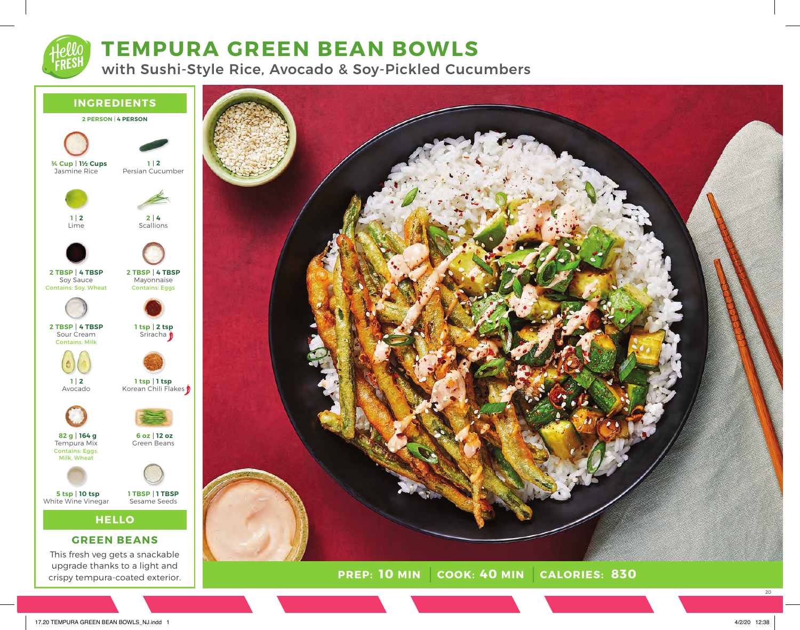# **TEMPURA GREEN BEAN BOWLS**

with Sushi-Style Rice, Avocado & Soy-Pickled Cucumbers



upgrade thanks to a light and crispy tempura-coated exterior.



20